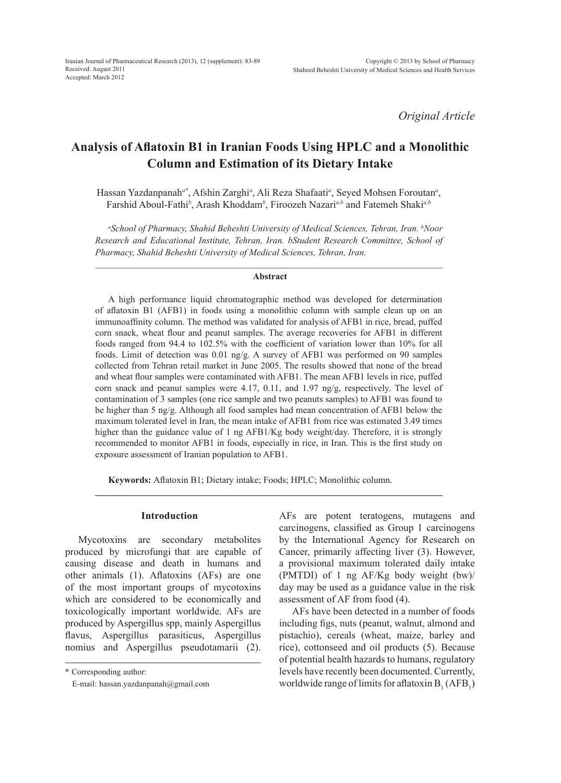*Original Article*

# **Analysis of Aflatoxin B1 in Iranian Foods Using HPLC and a Monolithic Column and Estimation of its Dietary Intake**

Hassan Yazdanpanah<sup>a\*</sup>, Afshin Zarghi<sup>a</sup>, Ali Reza Shafaati<sup>a</sup>, Seyed Mohsen Foroutan<sup>a</sup>, Farshid Aboul-Fathi*<sup>b</sup>* , Arash Khoddam*<sup>b</sup>* , Firoozeh Nazari*a,b* and Fatemeh Shaki*a,b*

*a School of Pharmacy, Shahid Beheshti University of Medical Sciences, Tehran, Iran. b Noor Research and Educational Institute, Tehran, Iran. bStudent Research Committee, School of Pharmacy, Shahid Beheshti University of Medical Sciences, Tehran, Iran.*

#### **Abstract**

A high performance liquid chromatographic method was developed for determination of aflatoxin B1 (AFB1) in foods using a monolithic column with sample clean up on an immunoaffinity column. The method was validated for analysis of AFB1 in rice, bread, puffed corn snack, wheat flour and peanut samples. The average recoveries for AFB1 in different foods ranged from 94.4 to 102.5% with the coefficient of variation lower than 10% for all foods. Limit of detection was 0.01 ng/g. A survey of AFB1 was performed on 90 samples collected from Tehran retail market in June 2005. The results showed that none of the bread and wheat flour samples were contaminated with AFB1. The mean AFB1 levels in rice, puffed corn snack and peanut samples were  $4.17$ ,  $0.11$ , and  $1.97$  ng/g, respectively. The level of contamination of 3 samples (one rice sample and two peanuts samples) to AFB1 was found to be higher than 5 ng/g. Although all food samples had mean concentration of AFB1 below the maximum tolerated level in Iran, the mean intake of AFB1 from rice was estimated 3.49 times higher than the guidance value of 1 ng AFB1/Kg body weight/day. Therefore, it is strongly recommended to monitor AFB1 in foods, especially in rice, in Iran. This is the first study on exposure assessment of Iranian population to AFB1.

**Keywords:** Aflatoxin B1; Dietary intake; Foods; HPLC; Monolithic column.

## **Introduction**

Mycotoxins are secondary metabolites produced by microfungi that are capable of causing disease and death in humans and other animals (1). Aflatoxins (AFs) are one of the most important groups of mycotoxins which are considered to be economically and toxicologically important worldwide. AFs are produced by Aspergillus spp, mainly Aspergillus flavus, Aspergillus parasiticus, Aspergillus nomius and Aspergillus pseudotamarii (2).

\* Corresponding author:

AFs are potent teratogens, mutagens and carcinogens, classified as Group 1 carcinogens by the International Agency for Research on Cancer, primarily affecting liver (3). However, a provisional maximum tolerated daily intake (PMTDI) of 1 ng AF/Kg body weight (bw)/ day may be used as a guidance value in the risk assessment of AF from food (4).

AFs have been detected in a number of foods including figs, nuts (peanut, walnut, almond and pistachio), cereals (wheat, maize, barley and rice), cottonseed and oil products (5). Because of potential health hazards to humans, regulatory levels have recently been documented. Currently, worldwide range of limits for aflatoxin  $B_1(AFB_1)$ 

E-mail: hassan.yazdanpanah@gmail.com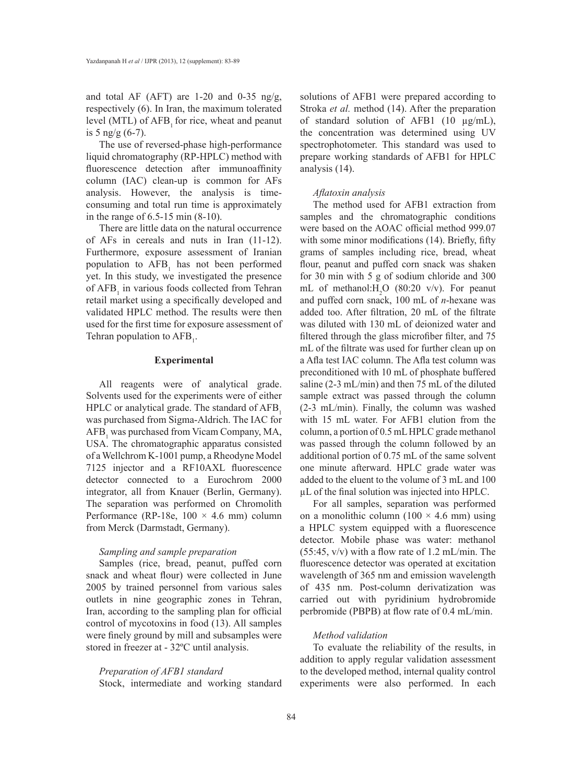and total AF (AFT) are 1-20 and 0-35 ng/g, respectively (6). In Iran, the maximum tolerated level (MTL) of AFB, for rice, wheat and peanut is 5 ng/g  $(6-7)$ .

The use of reversed-phase high-performance liquid chromatography (RP-HPLC) method with fluorescence detection after immunoaffinity column (IAC) clean-up is common for AFs analysis. However, the analysis is timeconsuming and total run time is approximately in the range of 6.5-15 min (8-10).

There are little data on the natural occurrence of AFs in cereals and nuts in Iran (11-12). Furthermore, exposure assessment of Iranian population to  $AFB<sub>1</sub>$  has not been performed yet. In this study, we investigated the presence of  $AFB<sub>1</sub>$  in various foods collected from Tehran retail market using a specifically developed and validated HPLC method. The results were then used for the first time for exposure assessment of Tehran population to  $AFB$ <sub>1</sub>.

## **Experimental**

All reagents were of analytical grade. Solvents used for the experiments were of either HPLC or analytical grade. The standard of AFB<sub>1</sub> was purchased from Sigma-Aldrich. The IAC for  $AFB<sub>1</sub>$  was purchased from Vicam Company, MA, USA. The chromatographic apparatus consisted of a Wellchrom K-1001 pump, a Rheodyne Model 7125 injector and a RF10AXL fluorescence detector connected to a Eurochrom 2000 integrator, all from Knauer (Berlin, Germany). The separation was performed on Chromolith Performance (RP-18e,  $100 \times 4.6$  mm) column from Merck (Darmstadt, Germany).

## *Sampling and sample preparation*

Samples (rice, bread, peanut, puffed corn snack and wheat flour) were collected in June 2005 by trained personnel from various sales outlets in nine geographic zones in Tehran, Iran, according to the sampling plan for official control of mycotoxins in food (13). All samples were finely ground by mill and subsamples were stored in freezer at - 32ºC until analysis.

## *Preparation of AFB1 standard*

Stock, intermediate and working standard

solutions of AFB1 were prepared according to Stroka *et al.* method (14). After the preparation of standard solution of AFB1 (10 µg/mL), the concentration was determined using UV spectrophotometer. This standard was used to prepare working standards of AFB1 for HPLC analysis (14).

## *Aflatoxin analysis*

The method used for AFB1 extraction from samples and the chromatographic conditions were based on the AOAC official method 999.07 with some minor modifications (14). Briefly, fifty grams of samples including rice, bread, wheat flour, peanut and puffed corn snack was shaken for 30 min with 5 g of sodium chloride and 300 mL of methanol: $H_2O$  (80:20 v/v). For peanut and puffed corn snack, 100 mL of *n*-hexane was added too. After filtration, 20 mL of the filtrate was diluted with 130 mL of deionized water and filtered through the glass microfiber filter, and 75 mL of the filtrate was used for further clean up on a Afla test IAC column. The Afla test column was preconditioned with 10 mL of phosphate buffered saline (2-3 mL/min) and then 75 mL of the diluted sample extract was passed through the column (2-3 mL/min). Finally, the column was washed with 15 mL water. For AFB1 elution from the column, a portion of 0.5 mL HPLC grade methanol was passed through the column followed by an additional portion of 0.75 mL of the same solvent one minute afterward. HPLC grade water was added to the eluent to the volume of 3 mL and 100 µL of the final solution was injected into HPLC.

For all samples, separation was performed on a monolithic column (100  $\times$  4.6 mm) using a HPLC system equipped with a fluorescence detector. Mobile phase was water: methanol (55:45, v/v) with a flow rate of 1.2 mL/min. The fluorescence detector was operated at excitation wavelength of 365 nm and emission wavelength of 435 nm. Post-column derivatization was carried out with pyridinium hydrobromide perbromide (PBPB) at flow rate of 0.4 mL/min.

## *Method validation*

To evaluate the reliability of the results, in addition to apply regular validation assessment to the developed method, internal quality control experiments were also performed. In each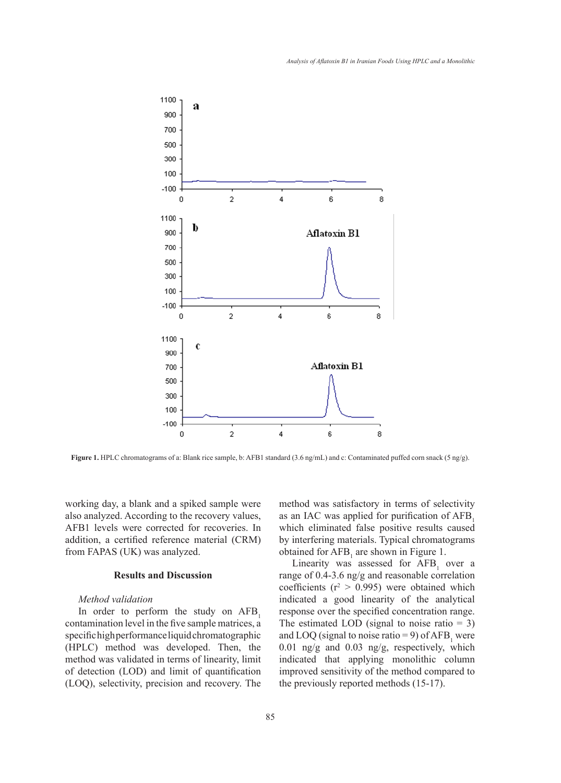

**Figure 1.** HPLC chromatograms of a: Blank rice sample, b: AFB1 standard (3.6 ng/mL) and c: Contaminated puffed corn snack (5 ng/g).

working day, a blank and a spiked sample were also analyzed. According to the recovery values, AFB1 levels were corrected for recoveries. In addition, a certified reference material (CRM) from FAPAS (UK) was analyzed.

# **Results and Discussion**

## *Method validation*

In order to perform the study on  $AFB<sub>1</sub>$ contamination level in the five sample matrices, a specific high performance liquid chromatographic (HPLC) method was developed. Then, the method was validated in terms of linearity, limit of detection (LOD) and limit of quantification (LOQ), selectivity, precision and recovery. The method was satisfactory in terms of selectivity as an IAC was applied for purification of AFB<sub>1</sub> which eliminated false positive results caused by interfering materials. Typical chromatograms obtained for  $AFB<sub>1</sub>$  are shown in Figure 1.

Linearity was assessed for  $AFB<sub>1</sub>$  over a range of 0.4-3.6 ng/g and reasonable correlation coefficients ( $r^2 > 0.995$ ) were obtained which indicated a good linearity of the analytical response over the specified concentration range. The estimated LOD (signal to noise ratio  $= 3$ ) and LOQ (signal to noise ratio = 9) of  $AFB<sub>1</sub>$  were 0.01 ng/g and 0.03 ng/g, respectively, which indicated that applying monolithic column improved sensitivity of the method compared to the previously reported methods (15-17).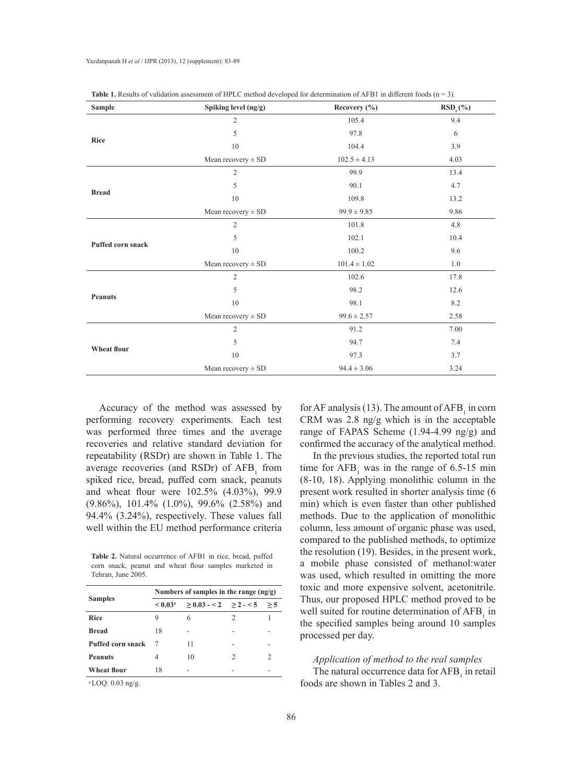| Sample                   | Spiking level (ng/g)   | Recovery (%)                                                                                                                                                                                                | $RSD_r$ (%) |  |  |
|--------------------------|------------------------|-------------------------------------------------------------------------------------------------------------------------------------------------------------------------------------------------------------|-------------|--|--|
|                          | $\overline{2}$         | 105.4                                                                                                                                                                                                       | 9.4         |  |  |
|                          | 5                      | 97.8                                                                                                                                                                                                        | 6           |  |  |
| <b>Rice</b>              | 10                     | 104.4<br>$102.5 \pm 4.13$<br>99.9<br>90.1<br>109.8<br>$99.9 \pm 9.85$<br>101.8<br>102.1<br>100.2<br>$101.4 \pm 1.02$<br>102.6<br>98.2<br>98.1<br>$99.6 \pm 2.57$<br>91.2<br>94.7<br>97.3<br>$94.4 \pm 3.06$ | 3.9         |  |  |
|                          | Mean recovery $\pm$ SD |                                                                                                                                                                                                             | 4.03        |  |  |
|                          | $\overline{2}$         |                                                                                                                                                                                                             | 13.4        |  |  |
|                          | 5                      |                                                                                                                                                                                                             | 4.7         |  |  |
| <b>Bread</b>             | 10                     |                                                                                                                                                                                                             | 13.2        |  |  |
|                          | Mean recovery $\pm$ SD |                                                                                                                                                                                                             | 9.86        |  |  |
|                          | $\overline{2}$         |                                                                                                                                                                                                             | 4.8         |  |  |
| <b>Puffed corn snack</b> | 5                      |                                                                                                                                                                                                             | 10.4        |  |  |
|                          | 10                     |                                                                                                                                                                                                             | 9.6         |  |  |
|                          | Mean recovery $\pm$ SD |                                                                                                                                                                                                             | 1.0         |  |  |
|                          | $\overline{2}$         |                                                                                                                                                                                                             | 17.8        |  |  |
|                          | 5                      |                                                                                                                                                                                                             | 12.6        |  |  |
| <b>Peanuts</b>           | 10                     |                                                                                                                                                                                                             | 8.2         |  |  |
|                          | Mean recovery $\pm$ SD |                                                                                                                                                                                                             | 2.58        |  |  |
|                          | $\mathfrak{2}$         |                                                                                                                                                                                                             | 7.00        |  |  |
|                          | 5                      |                                                                                                                                                                                                             | 7.4         |  |  |
| Wheat flour              | 10                     |                                                                                                                                                                                                             | 3.7         |  |  |
|                          | Mean recovery $\pm$ SD |                                                                                                                                                                                                             | 3.24        |  |  |

| <b>Table 1.</b> Results of validation assessment of HPLC method developed for determination of AFB1 in different foods $(n = 3)$ . |  |  |
|------------------------------------------------------------------------------------------------------------------------------------|--|--|
|------------------------------------------------------------------------------------------------------------------------------------|--|--|

Accuracy of the method was assessed by performing recovery experiments. Each test was performed three times and the average recoveries and relative standard deviation for repeatability (RSDr) are shown in Table 1. The average recoveries (and RSDr) of  $AFB<sub>1</sub>$  from spiked rice, bread, puffed corn snack, peanuts and wheat flour were 102.5% (4.03%), 99.9 (9.86%), 101.4% (1.0%), 99.6% (2.58%) and 94.4% (3.24%), respectively. These values fall well within the EU method performance criteria

**Table 2.** Natural occurrence of AFB1 in rice, bread, puffed corn snack, peanut and wheat flour samples marketed in Tehran, June 2005.

|                                                                | Numbers of samples in the range $(ng/g)$ |                           |   |  |  |
|----------------------------------------------------------------|------------------------------------------|---------------------------|---|--|--|
| <b>Samples</b>                                                 | < 0.03 <sup>a</sup>                      | $>0.03 - 2$ $>2 - 5$ $>5$ |   |  |  |
| <b>Rice</b>                                                    | 9                                        | 6                         | 2 |  |  |
| <b>Bread</b>                                                   | 18                                       |                           |   |  |  |
| <b>Puffed corn snack</b>                                       |                                          | 11                        |   |  |  |
| <b>Peanuts</b>                                                 | 4                                        | 10                        | 2 |  |  |
| <b>Wheat flour</b>                                             | 18                                       |                           |   |  |  |
| at $\bigcap$ $\bigcap$ $\bigcap$ $\bigcap$ $\bigcap$ $\bigcap$ |                                          |                           |   |  |  |

LOQ:  $0.03$  ng/g.

for AF analysis (13). The amount of  $AFB<sub>1</sub>$  in corn CRM was 2.8 ng/g which is in the acceptable range of FAPAS Scheme (1.94-4.99 ng/g) and confirmed the accuracy of the analytical method.

In the previous studies, the reported total run time for  $AFB<sub>1</sub>$  was in the range of 6.5-15 min (8-10, 18). Applying monolithic column in the present work resulted in shorter analysis time (6 min) which is even faster than other published methods. Due to the application of monolithic column, less amount of organic phase was used, compared to the published methods, to optimize the resolution (19). Besides, in the present work, a mobile phase consisted of methanol:water was used, which resulted in omitting the more toxic and more expensive solvent, acetonitrile. Thus, our proposed HPLC method proved to be well suited for routine determination of  $AFB<sub>1</sub>$  in the specified samples being around 10 samples processed per day.

## *Application of method to the real samples*

The natural occurrence data for  $AFB<sub>1</sub>$  in retail foods are shown in Tables 2 and 3.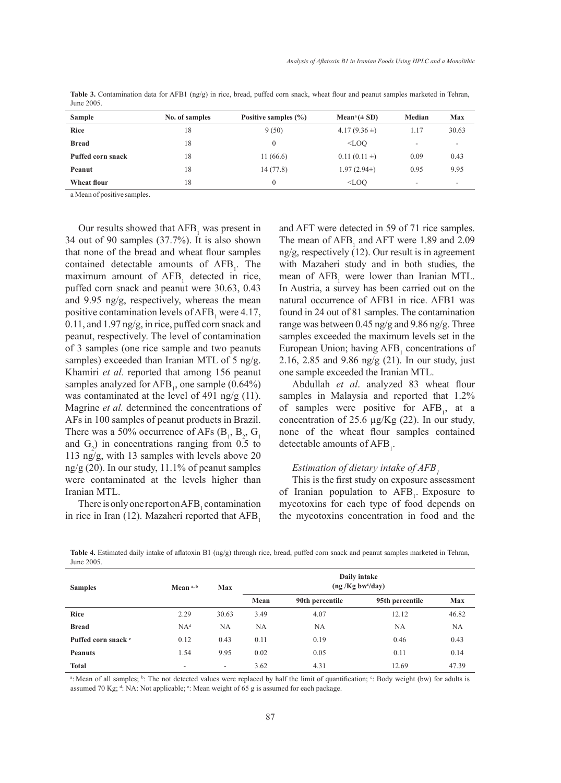| <b>Sample</b>     | No. of samples | Positive samples $(\% )$ | $Mean^a (\pm SD)$ | Median | Max                      |
|-------------------|----------------|--------------------------|-------------------|--------|--------------------------|
| <b>Rice</b>       | 18             | 9(50)                    | 4.17 $(9.36 \pm)$ | 1.17   | 30.63                    |
| <b>Bread</b>      | 18             | $\theta$                 | $<$ LOO           | ۰      | ۰                        |
| Puffed corn snack | 18             | 11(66.6)                 | $0.11(0.11 \pm)$  | 0.09   | 0.43                     |
| Peanut            | 18             | 14(77.8)                 | $1.97(2.94\pm)$   | 0.95   | 9.95                     |
| Wheat flour       | 18             | 0                        | $<$ LOO           | ۰      | $\overline{\phantom{a}}$ |

**Table 3.** Contamination data for AFB1 (ng/g) in rice, bread, puffed corn snack, wheat flour and peanut samples marketed in Tehran, June 2005.

a Mean of positive samples.

Our results showed that  $AFB<sub>1</sub>$  was present in 34 out of 90 samples (37.7%). It is also shown that none of the bread and wheat flour samples contained detectable amounts of  $AFB<sub>1</sub>$ . The maximum amount of  $AFB<sub>1</sub>$  detected in rice, puffed corn snack and peanut were 30.63, 0.43 and 9.95 ng/g, respectively, whereas the mean positive contamination levels of  $AFB<sub>1</sub>$  were 4.17, 0.11, and 1.97 ng/g, in rice, puffed corn snack and peanut, respectively. The level of contamination of 3 samples (one rice sample and two peanuts samples) exceeded than Iranian MTL of 5 ng/g. Khamiri *et al.* reported that among 156 peanut samples analyzed for  $AFB_1$ , one sample (0.64%) was contaminated at the level of 491 ng/g (11). Magrine *et al.* determined the concentrations of AFs in 100 samples of peanut products in Brazil. There was a 50% occurrence of AFs  $(B_1, B_2, G_1)$ and  $G_2$ ) in concentrations ranging from 0.5 to 113 ng/g, with 13 samples with levels above 20 ng/g (20). In our study, 11.1% of peanut samples were contaminated at the levels higher than Iranian MTL.

There is only one report on  $AFB<sub>1</sub>$  contamination in rice in Iran (12). Mazaheri reported that  $AFB<sub>1</sub>$ 

and AFT were detected in 59 of 71 rice samples. The mean of  $AFB<sub>1</sub>$  and  $AFT$  were 1.89 and 2.09 ng/g, respectively (12). Our result is in agreement with Mazaheri study and in both studies, the mean of  $AFB<sub>1</sub>$  were lower than Iranian MTL. In Austria, a survey has been carried out on the natural occurrence of AFB1 in rice. AFB1 was found in 24 out of 81 samples. The contamination range was between 0.45 ng/g and 9.86 ng/g. Three samples exceeded the maximum levels set in the European Union; having  $AFB<sub>1</sub>$  concentrations of 2.16, 2.85 and 9.86 ng/g (21). In our study, just one sample exceeded the Iranian MTL.

Abdullah *et al*. analyzed 83 wheat flour samples in Malaysia and reported that 1.2% of samples were positive for  $AFB<sub>1</sub>$ , at a concentration of 25.6 µg/Kg (22). In our study, none of the wheat flour samples contained detectable amounts of  $AFB<sub>1</sub>$ .

# *Estimation of dietary intake of AFB1*

This is the first study on exposure assessment of Iranian population to  $AFB<sub>1</sub>$ . Exposure to mycotoxins for each type of food depends on the mycotoxins concentration in food and the

**Table 4.** Estimated daily intake of aflatoxin B1 (ng/g) through rice, bread, puffed corn snack and peanut samples marketed in Tehran, June 2005.

| <b>Samples</b>                 | Mean <sup>a, b</sup> | <b>Max</b>               | Daily intake<br>(ng/Kg bw <sup>c</sup> /day) |                 |                 |            |
|--------------------------------|----------------------|--------------------------|----------------------------------------------|-----------------|-----------------|------------|
|                                |                      |                          | Mean                                         | 90th percentile | 95th percentile | <b>Max</b> |
| <b>Rice</b>                    | 2.29                 | 30.63                    | 3.49                                         | 4.07            | 12.12           | 46.82      |
| <b>Bread</b>                   | NA <sup>d</sup>      | NA                       | NA                                           | <b>NA</b>       | NA              | <b>NA</b>  |
| Puffed corn snack <sup>e</sup> | 0.12                 | 0.43                     | 0.11                                         | 0.19            | 0.46            | 0.43       |
| <b>Peanuts</b>                 | 1.54                 | 9.95                     | 0.02                                         | 0.05            | 0.11            | 0.14       |
| <b>Total</b>                   | ۰.                   | $\overline{\phantom{a}}$ | 3.62                                         | 4.31            | 12.69           | 47.39      |

<sup>a</sup>: Mean of all samples; <sup>b</sup>: The not detected values were replaced by half the limit of quantification; <sup>c</sup>: Body weight (bw) for adults is assumed 70 Kg;  $d$ : NA: Not applicable;  $e$ : Mean weight of 65 g is assumed for each package.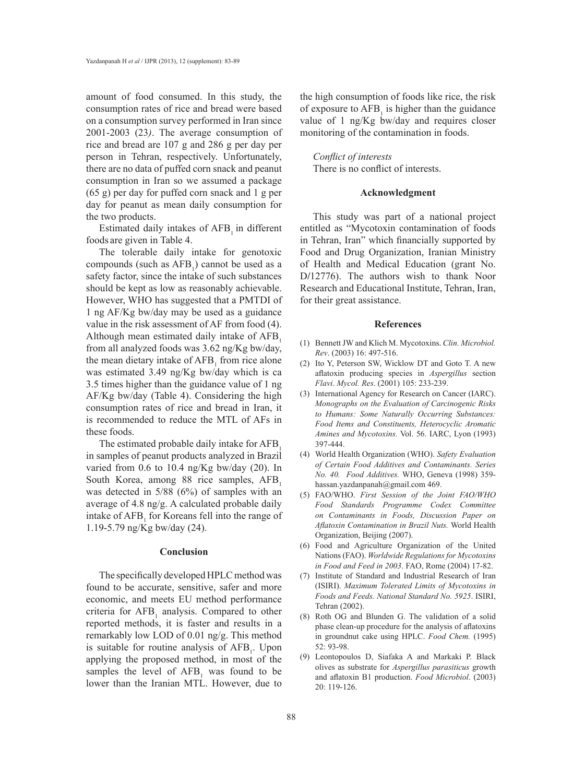amount of food consumed. In this study, the consumption rates of rice and bread were based on a consumption survey performed in Iran since 2001-2003 (23*)*. The average consumption of rice and bread are 107 g and 286 g per day per person in Tehran, respectively. Unfortunately, there are no data of puffed corn snack and peanut consumption in Iran so we assumed a package (65 g) per day for puffed corn snack and 1 g per day for peanut as mean daily consumption for the two products.

Estimated daily intakes of AFB<sub>1</sub> in different foods are given in Table 4.

The tolerable daily intake for genotoxic compounds (such as  $AFB_1$ ) cannot be used as a safety factor, since the intake of such substances should be kept as low as reasonably achievable. However, WHO has suggested that a PMTDI of 1 ng AF/Kg bw/day may be used as a guidance value in the risk assessment of AF from food (4). Although mean estimated daily intake of AFB. from all analyzed foods was 3.62 ng/Kg bw/day, the mean dietary intake of  $AFB<sub>1</sub>$  from rice alone was estimated 3.49 ng/Kg bw/day which is ca 3.5 times higher than the guidance value of 1 ng AF/Kg bw/day (Table 4). Considering the high consumption rates of rice and bread in Iran, it is recommended to reduce the MTL of AFs in these foods.

The estimated probable daily intake for AFB<sub>1</sub> in samples of peanut products analyzed in Brazil varied from 0.6 to 10.4 ng/Kg bw/day (20). In South Korea, among 88 rice samples, AFB<sub>1</sub> was detected in 5/88 (6%) of samples with an average of 4.8 ng/g. A calculated probable daily intake of  $AFB<sub>1</sub>$  for Koreans fell into the range of 1.19-5.79 ng/Kg bw/day (24).

### **Conclusion**

The specifically developed HPLC method was found to be accurate, sensitive, safer and more economic, and meets EU method performance criteria for  $AFB<sub>1</sub>$  analysis. Compared to other reported methods, it is faster and results in a remarkably low LOD of 0.01 ng/g. This method is suitable for routine analysis of  $AFB<sub>1</sub>$ . Upon applying the proposed method, in most of the samples the level of  $AFB<sub>1</sub>$  was found to be lower than the Iranian MTL. However, due to

the high consumption of foods like rice, the risk of exposure to  $AFB<sub>1</sub>$  is higher than the guidance value of 1 ng/Kg bw/day and requires closer monitoring of the contamination in foods.

# *Conflict of interests*

There is no conflict of interests.

## **Acknowledgment**

This study was part of a national project entitled as "Mycotoxin contamination of foods in Tehran, Iran" which financially supported by Food and Drug Organization, Iranian Ministry of Health and Medical Education (grant No. D/12776). The authors wish to thank Noor Research and Educational Institute, Tehran, Iran, for their great assistance.

### **References**

- Bennett JW and Klich M. Mycotoxins. *Clin. Microbiol.*  (1) *Rev*. (2003) 16: 497-516.
- $(2)$  Ito Y, Peterson SW, Wicklow DT and Goto T. A new aflatoxin producing species in *Aspergillus* section *Flavi*. *Mycol. Res*. (2001) 105: 233-239.
- (3) International Agency for Research on Cancer (IARC). *Monographs on the Evaluation of Carcinogenic Risks to Humans: Some Naturally Occurring Substances: Food Items and Constituents, Heterocyclic Aromatic Amines and Mycotoxins.* Vol. 56. IARC, Lyon (1993) 397-444.
- World Health Organization (WHO). *Safety Evaluation*  (4) *of Certain Food Additives and Contaminants. Series No. 40. Food Additives.* WHO, Geneva (1998) 359 hassan.yazdanpanah@gmail.com 469.
- FAO/WHO. *First Session of the Joint FAO/WHO*  (5) *Food Standards Programme Codex Committee on Contaminants in Foods, Discussion Paper on Aflatoxin Contamination in Brazil Nuts.* World Health Organization, Beijing (2007).
- Food and Agriculture Organization of the United (6) Nations (FAO). *Worldwide Regulations for Mycotoxins in Food and Feed in 2003*. FAO, Rome (2004) 17-82.
- (7) Institute of Standard and Industrial Research of Iran (ISIRI). *Maximum Tolerated Limits of Mycotoxins in Foods and Feeds. National Standard No. 5925*. ISIRI, Tehran (2002).
- $(8)$  Roth OG and Blunden G. The validation of a solid phase clean-up procedure for the analysis of aflatoxins in groundnut cake using HPLC. *Food Chem.* (1995) 52: 93-98.
- Leontopoulos D, Siafaka A and Markaki P. Black (9) olives as substrate for *Aspergillus parasiticus* growth and aflatoxin B1 production. *Food Microbiol*. (2003) 20: 119-126.